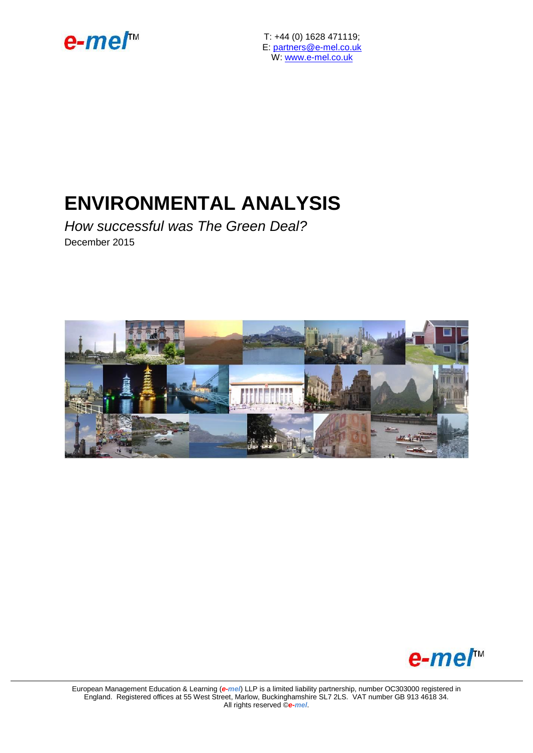

T: +44 (0) 1628 471119; E: [partners@e-mel.co.uk](mailto:partners@e-mel.co.uk) W: [www.e-mel.co.uk](http://www.e-mel.co.uk/)

## **ENVIRONMENTAL ANALYSIS**

*How successful was The Green Deal?* December 2015





European Management Education & Learning (*e-mel*) LLP is a limited liability partnership, number OC303000 registered in England. Registered offices at 55 West Street, Marlow, Buckinghamshire SL7 2LS. VAT number GB 913 4618 34. All rights reserved ©*e-mel*.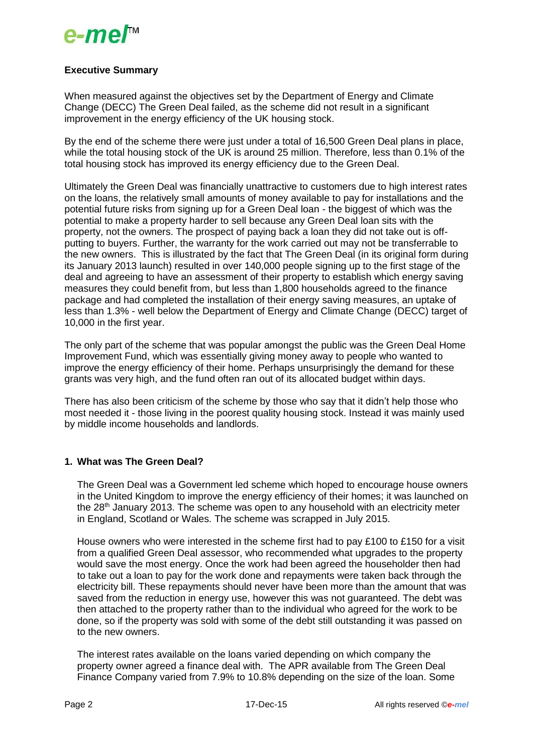## e-me*ľ*<sup>™</sup>

## **Executive Summary**

When measured against the objectives set by the Department of Energy and Climate Change (DECC) The Green Deal failed, as the scheme did not result in a significant improvement in the energy efficiency of the UK housing stock.

By the end of the scheme there were just under a total of 16,500 Green Deal plans in place, while the total housing stock of the UK is around 25 million. Therefore, less than 0.1% of the total housing stock has improved its energy efficiency due to the Green Deal.

Ultimately the Green Deal was financially unattractive to customers due to high interest rates on the loans, the relatively small amounts of money available to pay for installations and the potential future risks from signing up for a Green Deal loan - the biggest of which was the potential to make a property harder to sell because any Green Deal loan sits with the property, not the owners. The prospect of paying back a loan they did not take out is offputting to buyers. Further, the warranty for the work carried out may not be transferrable to the new owners. This is illustrated by the fact that The Green Deal (in its original form during its January 2013 launch) resulted in over 140,000 people signing up to the first stage of the deal and agreeing to have an assessment of their property to establish which energy saving measures they could benefit from, but less than 1,800 households agreed to the finance package and had completed the installation of their energy saving measures, an uptake of less than 1.3% - well below the Department of Energy and Climate Change (DECC) target of 10,000 in the first year.

The only part of the scheme that was popular amongst the public was the Green Deal Home Improvement Fund, which was essentially giving money away to people who wanted to improve the energy efficiency of their home. Perhaps unsurprisingly the demand for these grants was very high, and the fund often ran out of its allocated budget within days.

There has also been criticism of the scheme by those who say that it didn't help those who most needed it - those living in the poorest quality housing stock. Instead it was mainly used by middle income households and landlords.

### **1. What was The Green Deal?**

The Green Deal was a Government led scheme which hoped to encourage house owners in the United Kingdom to improve the energy efficiency of their homes; it was launched on the  $28<sup>th</sup>$  January 2013. The scheme was open to any household with an electricity meter in England, Scotland or Wales. The scheme was scrapped in July 2015.

House owners who were interested in the scheme first had to pay £100 to £150 for a visit from a qualified Green Deal assessor, who recommended what upgrades to the property would save the most energy. Once the work had been agreed the householder then had to take out a loan to pay for the work done and repayments were taken back through the electricity bill. These repayments should never have been more than the amount that was saved from the reduction in energy use, however this was not guaranteed. The debt was then attached to the property rather than to the individual who agreed for the work to be done, so if the property was sold with some of the debt still outstanding it was passed on to the new owners.

The interest rates available on the loans varied depending on which company the property owner agreed a finance deal with. The APR available from The Green Deal Finance Company varied from 7.9% to 10.8% depending on the size of the loan. Some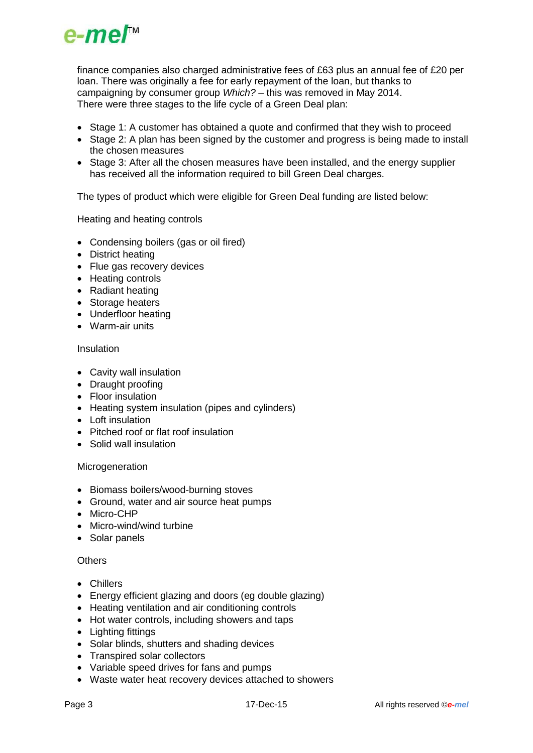

finance companies also charged administrative fees of £63 plus an annual fee of £20 per loan. There was originally a fee for early repayment of the loan, but thanks to campaigning by consumer group *Which?* – this was removed in May 2014. There were three stages to the life cycle of a Green Deal plan:

- Stage 1: A customer has obtained a quote and confirmed that they wish to proceed
- Stage 2: A plan has been signed by the customer and progress is being made to install the chosen measures
- Stage 3: After all the chosen measures have been installed, and the energy supplier has received all the information required to bill Green Deal charges.

The types of product which were eligible for Green Deal funding are listed below:

Heating and heating controls

- Condensing boilers (gas or oil fired)
- District heating
- Flue gas recovery devices
- Heating controls
- Radiant heating
- Storage heaters
- Underfloor heating
- Warm-air units

#### Insulation

- Cavity wall insulation
- Draught proofing
- Floor insulation
- Heating system insulation (pipes and cylinders)
- Loft insulation
- Pitched roof or flat roof insulation
- Solid wall insulation

#### Microgeneration

- Biomass boilers/wood-burning stoves
- Ground, water and air source heat pumps
- Micro-CHP
- Micro-wind/wind turbine
- Solar panels

#### **Others**

- Chillers
- Energy efficient glazing and doors (eg double glazing)
- Heating ventilation and air conditioning controls
- Hot water controls, including showers and taps
- Lighting fittings
- Solar blinds, shutters and shading devices
- Transpired solar collectors
- Variable speed drives for fans and pumps
- Waste water heat recovery devices attached to showers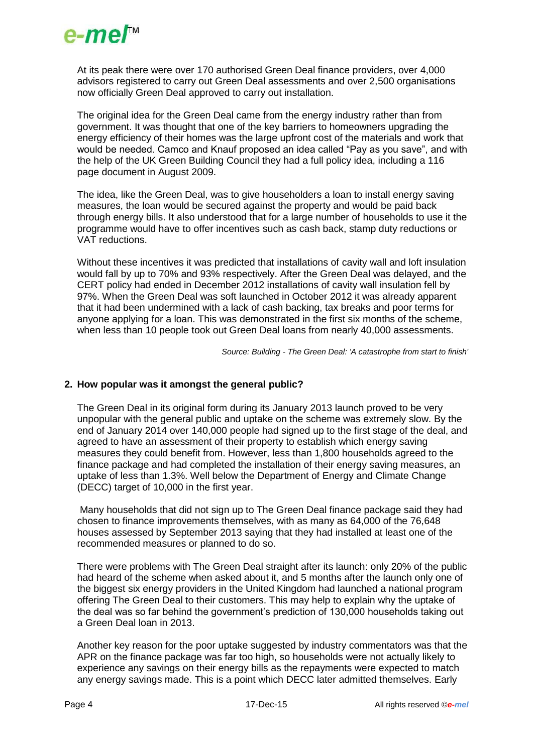

At its peak there were over 170 authorised Green Deal finance providers, over 4,000 advisors registered to carry out Green Deal assessments and over 2,500 organisations now officially Green Deal approved to carry out installation.

The original idea for the Green Deal came from the energy industry rather than from government. It was thought that one of the key barriers to homeowners upgrading the energy efficiency of their homes was the large upfront cost of the materials and work that would be needed. Camco and Knauf proposed an idea called "Pay as you save", and with the help of the UK Green Building Council they had a full policy idea, including a 116 page document in August 2009.

The idea, like the Green Deal, was to give householders a loan to install energy saving measures, the loan would be secured against the property and would be paid back through energy bills. It also understood that for a large number of households to use it the programme would have to offer incentives such as cash back, stamp duty reductions or VAT reductions.

Without these incentives it was predicted that installations of cavity wall and loft insulation would fall by up to 70% and 93% respectively. After the Green Deal was delayed, and the CERT policy had ended in December 2012 installations of cavity wall insulation fell by 97%. When the Green Deal was soft launched in October 2012 it was already apparent that it had been undermined with a lack of cash backing, tax breaks and poor terms for anyone applying for a loan. This was demonstrated in the first six months of the scheme, when less than 10 people took out Green Deal loans from nearly 40,000 assessments.

*Source: Building - The Green Deal: 'A catastrophe from start to finish'*

#### **2. How popular was it amongst the general public?**

The Green Deal in its original form during its January 2013 launch proved to be very unpopular with the general public and uptake on the scheme was extremely slow. By the end of January 2014 over 140,000 people had signed up to the first stage of the deal, and agreed to have an assessment of their property to establish which energy saving measures they could benefit from. However, less than 1,800 households agreed to the finance package and had completed the installation of their energy saving measures, an uptake of less than 1.3%. Well below the Department of Energy and Climate Change (DECC) target of 10,000 in the first year.

Many households that did not sign up to The Green Deal finance package said they had chosen to finance improvements themselves, with as many as 64,000 of the 76,648 houses assessed by September 2013 saying that they had installed at least one of the recommended measures or planned to do so.

There were problems with The Green Deal straight after its launch: only 20% of the public had heard of the scheme when asked about it, and 5 months after the launch only one of the biggest six energy providers in the United Kingdom had launched a national program offering The Green Deal to their customers. This may help to explain why the uptake of the deal was so far behind the government's prediction of 130,000 households taking out a Green Deal loan in 2013.

Another key reason for the poor uptake suggested by industry commentators was that the APR on the finance package was far too high, so households were not actually likely to experience any savings on their energy bills as the repayments were expected to match any energy savings made. This is a point which DECC later admitted themselves. Early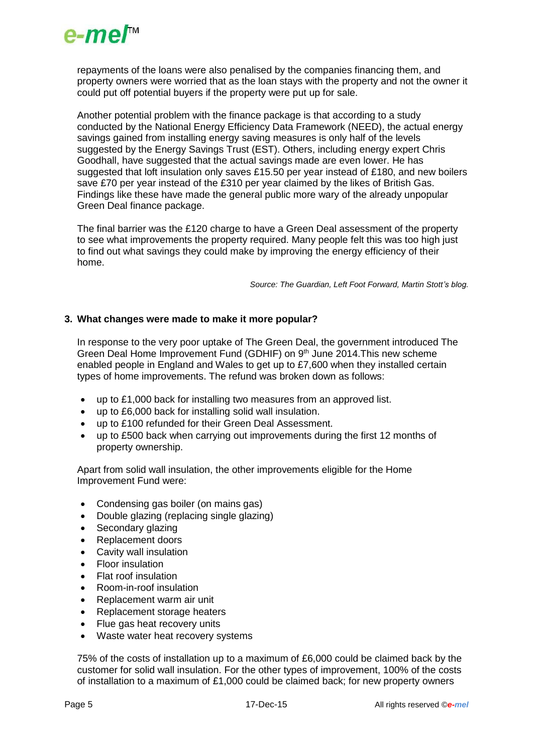

repayments of the loans were also penalised by the companies financing them, and property owners were worried that as the loan stays with the property and not the owner it could put off potential buyers if the property were put up for sale.

Another potential problem with the finance package is that according to a study conducted by the National Energy Efficiency Data Framework (NEED), the actual energy savings gained from installing energy saving measures is only half of the levels suggested by the Energy Savings Trust (EST). Others, including energy expert Chris Goodhall, have suggested that the actual savings made are even lower. He has suggested that loft insulation only saves £15.50 per year instead of £180, and new boilers save £70 per year instead of the £310 per year claimed by the likes of British Gas. Findings like these have made the general public more wary of the already unpopular Green Deal finance package.

The final barrier was the £120 charge to have a Green Deal assessment of the property to see what improvements the property required. Many people felt this was too high just to find out what savings they could make by improving the energy efficiency of their home.

*Source: The Guardian, Left Foot Forward, Martin Stott's blog.*

#### **3. What changes were made to make it more popular?**

In response to the very poor uptake of The Green Deal, the government introduced The Green Deal Home Improvement Fund (GDHIF) on 9<sup>th</sup> June 2014. This new scheme enabled people in England and Wales to get up to £7,600 when they installed certain types of home improvements. The refund was broken down as follows:

- up to £1,000 back for installing two measures from an approved list.
- up to £6,000 back for installing solid wall insulation.
- up to £100 refunded for their Green Deal Assessment.
- up to £500 back when carrying out improvements during the first 12 months of property ownership.

Apart from solid wall insulation, the other improvements eligible for the Home Improvement Fund were:

- Condensing gas boiler (on mains gas)
- Double glazing (replacing single glazing)
- Secondary glazing
- Replacement doors
- Cavity wall insulation
- Floor insulation
- Flat roof insulation
- Room-in-roof insulation
- Replacement warm air unit
- Replacement storage heaters
- Flue gas heat recovery units
- Waste water heat recovery systems

75% of the costs of installation up to a maximum of £6,000 could be claimed back by the customer for solid wall insulation. For the other types of improvement, 100% of the costs of installation to a maximum of £1,000 could be claimed back; for new property owners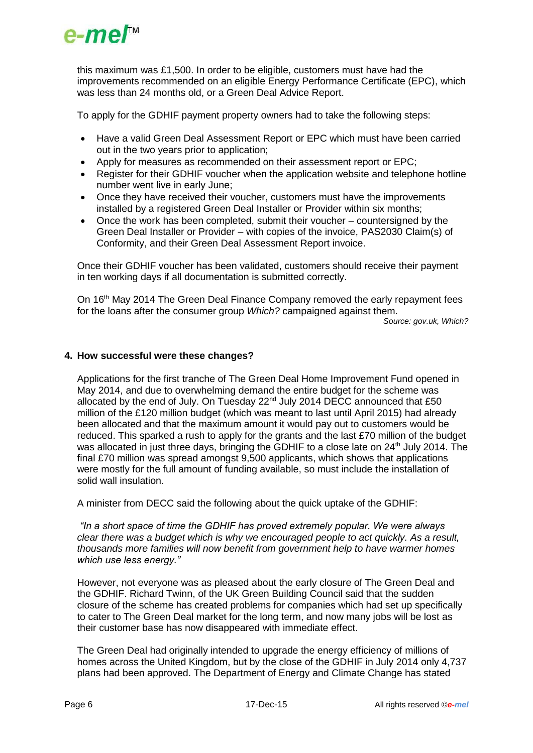

this maximum was £1,500. In order to be eligible, customers must have had the improvements recommended on an eligible Energy Performance Certificate (EPC), which was less than 24 months old, or a Green Deal Advice Report.

To apply for the GDHIF payment property owners had to take the following steps:

- Have a valid Green Deal Assessment Report or EPC which must have been carried out in the two years prior to application;
- Apply for measures as recommended on their assessment report or EPC;
- Register for their GDHIF voucher when the application website and telephone hotline number went live in early June;
- Once they have received their voucher, customers must have the improvements installed by a registered Green Deal Installer or Provider within six months;
- Once the work has been completed, submit their voucher countersigned by the Green Deal Installer or Provider – with copies of the invoice, PAS2030 Claim(s) of Conformity, and their Green Deal Assessment Report invoice.

Once their GDHIF voucher has been validated, customers should receive their payment in ten working days if all documentation is submitted correctly.

On 16th May 2014 The Green Deal Finance Company removed the early repayment fees for the loans after the consumer group *Which?* campaigned against them.

*Source: gov.uk, Which?*

#### **4. How successful were these changes?**

Applications for the first tranche of The Green Deal Home Improvement Fund opened in May 2014, and due to overwhelming demand the entire budget for the scheme was allocated by the end of July. On Tuesday 22<sup>nd</sup> July 2014 DECC announced that £50 million of the £120 million budget (which was meant to last until April 2015) had already been allocated and that the maximum amount it would pay out to customers would be reduced. This sparked a rush to apply for the grants and the last £70 million of the budget was allocated in just three days, bringing the GDHIF to a close late on 24<sup>th</sup> July 2014. The final £70 million was spread amongst 9,500 applicants, which shows that applications were mostly for the full amount of funding available, so must include the installation of solid wall insulation.

A minister from DECC said the following about the quick uptake of the GDHIF:

*"In a short space of time the GDHIF has proved extremely popular. We were always clear there was a budget which is why we encouraged people to act quickly. As a result, thousands more families will now benefit from government help to have warmer homes which use less energy."*

However, not everyone was as pleased about the early closure of The Green Deal and the GDHIF. Richard Twinn, of the UK Green Building Council said that the sudden closure of the scheme has created problems for companies which had set up specifically to cater to The Green Deal market for the long term, and now many jobs will be lost as their customer base has now disappeared with immediate effect.

The Green Deal had originally intended to upgrade the energy efficiency of millions of homes across the United Kingdom, but by the close of the GDHIF in July 2014 only 4,737 plans had been approved. The Department of Energy and Climate Change has stated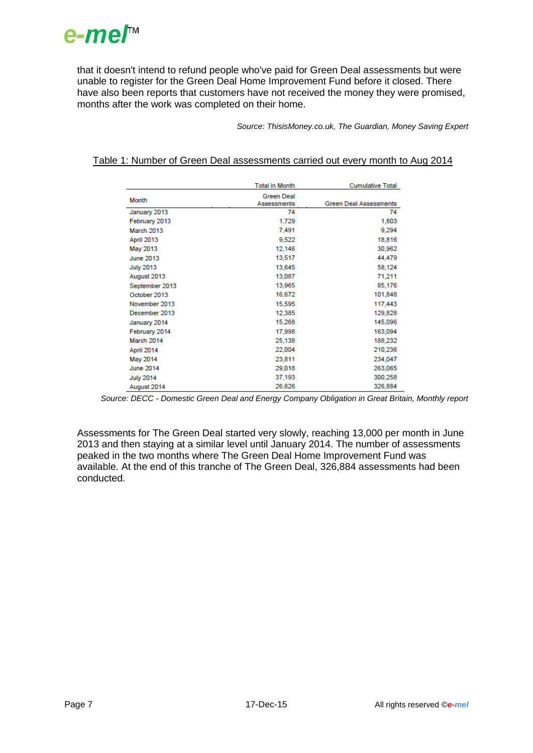

that it doesn't intend to refund people who've paid for Green Deal assessments but were unable to register for the Green Deal Home Improvement Fund before it closed. There have also been reports that customers have not received the money they were promised, months after the work was completed on their home.

*Source: ThisisMoney.co.uk, The Guardian, Money Saving Expert*

|                  | <b>Total in Month</b>            | <b>Cumulative Total</b>       |
|------------------|----------------------------------|-------------------------------|
| Month            | <b>Green Deal</b><br>Assessments | <b>Green Deal Assessments</b> |
| January 2013     | 74                               | 74                            |
| February 2013    | 1,729                            | 1,803                         |
| March 2013       | 7,491                            | 9,294                         |
| April 2013       | 9,522                            | 18,816                        |
| May 2013         | 12,146                           | 30,962                        |
| June 2013        | 13,517                           | 44,479                        |
| <b>July 2013</b> | 13,645                           | 58,124                        |
| August 2013      | 13,087                           | 71,211                        |
| September 2013   | 13,965                           | 85,176                        |
| October 2013     | 16,672                           | 101,848                       |
| November 2013    | 15,595                           | 117,443                       |
| December 2013    | 12,385                           | 129,828                       |
| January 2014     | 15,268                           | 145,096                       |
| February 2014    | 17.998                           | 163,094                       |
| March 2014       | 25,138                           | 188,232                       |
| April 2014       | 22,004                           | 210,236                       |
| May 2014         | 23,811                           | 234,047                       |
| <b>June 2014</b> | 29,018                           | 263,065                       |
| <b>July 2014</b> | 37,193                           | 300,258                       |
| August 2014      | 26,626                           | 326,884                       |

#### Table 1: Number of Green Deal assessments carried out every month to Aug 2014

*Source: DECC - Domestic Green Deal and Energy Company Obligation in Great Britain, Monthly report*

Assessments for The Green Deal started very slowly, reaching 13,000 per month in June 2013 and then staying at a similar level until January 2014. The number of assessments peaked in the two months where The Green Deal Home Improvement Fund was available. At the end of this tranche of The Green Deal, 326,884 assessments had been conducted.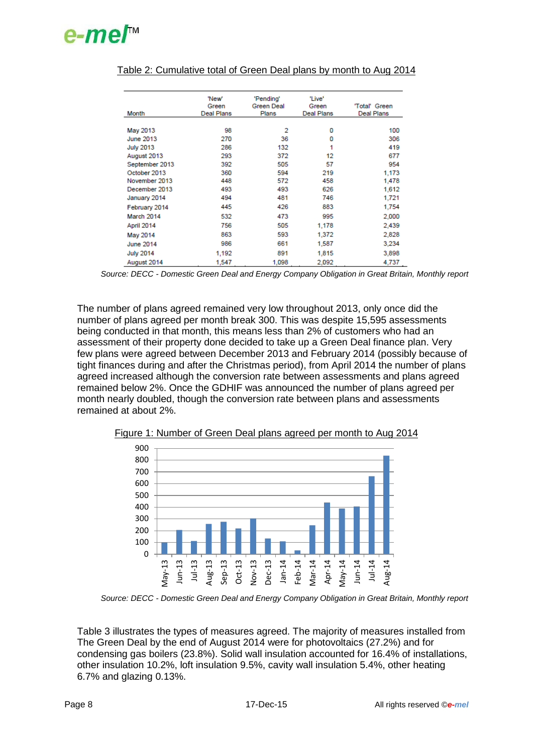# $e$ -me $I^{\scriptscriptstyle\mathsf{M}}$

| Month            | 'New'<br>Green<br>Deal Plans | 'Pending'<br>Green Deal<br>Plans | 'Live'<br>Green<br>Deal Plans | 'Total' Green<br>Deal Plans |
|------------------|------------------------------|----------------------------------|-------------------------------|-----------------------------|
|                  |                              |                                  |                               |                             |
| May 2013         | 98                           | 2                                | 0                             | 100                         |
| June 2013        | 270                          | 36                               | 0                             | 306                         |
| <b>July 2013</b> | 286                          | 132                              | 1                             | 419                         |
| August 2013      | 293                          | 372                              | 12                            | 677                         |
| September 2013   | 392                          | 505                              | 57                            | 954                         |
| October 2013     | 360                          | 594                              | 219                           | 1,173                       |
| November 2013    | 448                          | 572                              | 458                           | 1,478                       |
| December 2013    | 493                          | 493                              | 626                           | 1,612                       |
| January 2014     | 494                          | 481                              | 746                           | 1,721                       |
| February 2014    | 445                          | 426                              | 883                           | 1,754                       |
| March 2014       | 532                          | 473                              | 995                           | 2,000                       |
| April 2014       | 756                          | 505                              | 1,178                         | 2.439                       |
| May 2014         | 863                          | 593                              | 1,372                         | 2,828                       |
| <b>June 2014</b> | 986                          | 661                              | 1,587                         | 3,234                       |
| <b>July 2014</b> | 1,192                        | 891                              | 1,815                         | 3,898                       |
| August 2014      | 1,547                        | 1,098                            | 2,092                         | 4,737                       |

## Table 2: Cumulative total of Green Deal plans by month to Aug 2014

*Source: DECC - Domestic Green Deal and Energy Company Obligation in Great Britain, Monthly report*

The number of plans agreed remained very low throughout 2013, only once did the number of plans agreed per month break 300. This was despite 15,595 assessments being conducted in that month, this means less than 2% of customers who had an assessment of their property done decided to take up a Green Deal finance plan. Very few plans were agreed between December 2013 and February 2014 (possibly because of tight finances during and after the Christmas period), from April 2014 the number of plans agreed increased although the conversion rate between assessments and plans agreed remained below 2%. Once the GDHIF was announced the number of plans agreed per month nearly doubled, though the conversion rate between plans and assessments remained at about 2%.



Figure 1: Number of Green Deal plans agreed per month to Aug 2014

*Source: DECC - Domestic Green Deal and Energy Company Obligation in Great Britain, Monthly report*

Table 3 illustrates the types of measures agreed. The majority of measures installed from The Green Deal by the end of August 2014 were for photovoltaics (27.2%) and for condensing gas boilers (23.8%). Solid wall insulation accounted for 16.4% of installations, other insulation 10.2%, loft insulation 9.5%, cavity wall insulation 5.4%, other heating 6.7% and glazing 0.13%.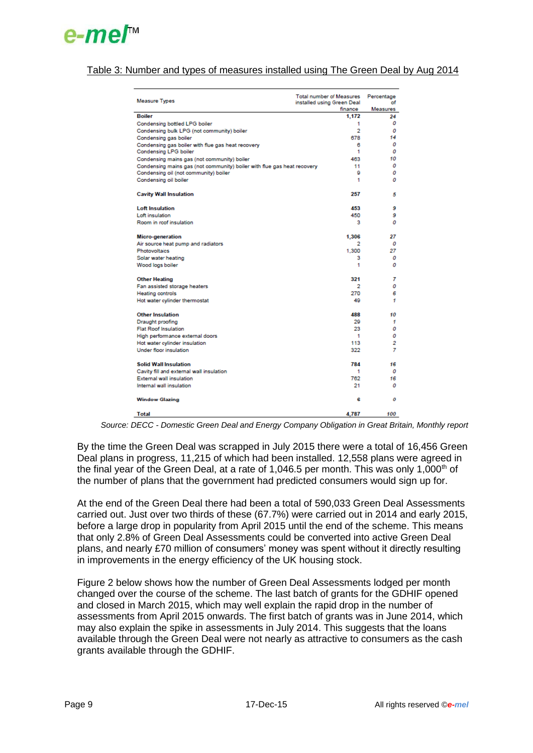

#### Table 3: Number and types of measures installed using The Green Deal by Aug 2014

| <b>Measure Types</b>                                                       | Total number of Measures Percentage<br>installed using Green Deal | nf       |
|----------------------------------------------------------------------------|-------------------------------------------------------------------|----------|
|                                                                            | finance                                                           | Measures |
| <b>Boiler</b>                                                              | 1.172                                                             | 24       |
| Condensing bottled LPG boiler                                              | 1                                                                 | 0        |
| Condensing bulk LPG (not community) boiler                                 | 2                                                                 | 0        |
| Condensing gas boiler                                                      | 678                                                               | 14       |
| Condensing gas boiler with flue gas heat recovery<br>Condensing LPG boiler | 6<br>1                                                            | 0<br>0   |
| Condensing mains gas (not community) boiler                                | 463                                                               | 10       |
| Condensing mains gas (not community) boiler with flue gas heat recovery    | 11                                                                | 0        |
| Condensing oil (not community) boiler                                      | я                                                                 | о        |
| Condensing oil boiler                                                      | 1                                                                 | ο        |
| <b>Cavity Wall Insulation</b>                                              | 257                                                               | 5        |
| <b>Loft Insulation</b>                                                     | 453                                                               | 9        |
| Loft insulation                                                            | 450                                                               | 9        |
| Room in roof insulation                                                    | з                                                                 | ο        |
| Micro-generation                                                           | 1.306                                                             | 27       |
| Air source heat pump and radiators                                         | 2                                                                 | 0        |
| Photovoltaics                                                              | 1.300                                                             | 27       |
| Solar water heating                                                        | 3                                                                 | 0        |
| Wood logs boiler                                                           | 1                                                                 | 0        |
| <b>Other Heating</b>                                                       | 321                                                               | 7        |
| Fan assisted storage heaters                                               | 2                                                                 | 0        |
| <b>Heating controls</b>                                                    | 270                                                               | 6        |
| Hot water cylinder thermostat                                              | 49                                                                | 1        |
| <b>Other Insulation</b>                                                    | 488                                                               | 10       |
| Draught proofing                                                           | 29                                                                | 1        |
| <b>Flat Roof Insulation</b>                                                | 23                                                                | 0        |
| High performance external doors                                            | 1                                                                 | 0        |
| Hot water cylinder insulation                                              | 113                                                               | 2        |
| Under floor insulation                                                     | 322                                                               | 7        |
| <b>Solid Wall Insulation</b>                                               | 784                                                               | 16       |
| Cavity fill and external wall insulation                                   | 1                                                                 | 0        |
| <b>External wall insulation</b>                                            | 762                                                               | 16       |
| Internal wall insulation                                                   | 21                                                                | ο        |
| <b>Window Glazing</b>                                                      | 6                                                                 | 0        |
| <b>Total</b>                                                               | 4,787                                                             | 100      |

*Source: DECC - Domestic Green Deal and Energy Company Obligation in Great Britain, Monthly report*

By the time the Green Deal was scrapped in July 2015 there were a total of 16,456 Green Deal plans in progress, 11,215 of which had been installed. 12,558 plans were agreed in the final year of the Green Deal, at a rate of 1,046.5 per month. This was only 1,000<sup>th</sup> of the number of plans that the government had predicted consumers would sign up for.

At the end of the Green Deal there had been a total of 590,033 Green Deal Assessments carried out. Just over two thirds of these (67.7%) were carried out in 2014 and early 2015, before a large drop in popularity from April 2015 until the end of the scheme. This means that only 2.8% of Green Deal Assessments could be converted into active Green Deal plans, and nearly £70 million of consumers' money was spent without it directly resulting in improvements in the energy efficiency of the UK housing stock.

Figure 2 below shows how the number of Green Deal Assessments lodged per month changed over the course of the scheme. The last batch of grants for the GDHIF opened and closed in March 2015, which may well explain the rapid drop in the number of assessments from April 2015 onwards. The first batch of grants was in June 2014, which may also explain the spike in assessments in July 2014. This suggests that the loans available through the Green Deal were not nearly as attractive to consumers as the cash grants available through the GDHIF.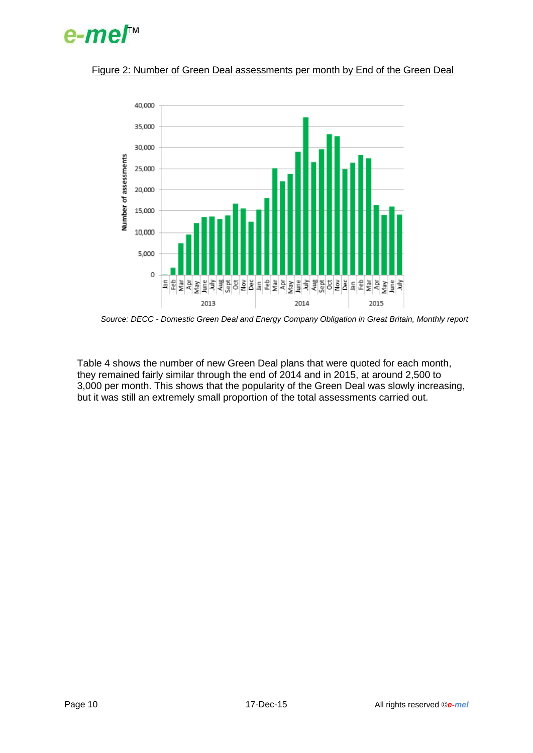



#### Figure 2: Number of Green Deal assessments per month by End of the Green Deal

*Source: DECC - Domestic Green Deal and Energy Company Obligation in Great Britain, Monthly report*

Table 4 shows the number of new Green Deal plans that were quoted for each month, they remained fairly similar through the end of 2014 and in 2015, at around 2,500 to 3,000 per month. This shows that the popularity of the Green Deal was slowly increasing, but it was still an extremely small proportion of the total assessments carried out.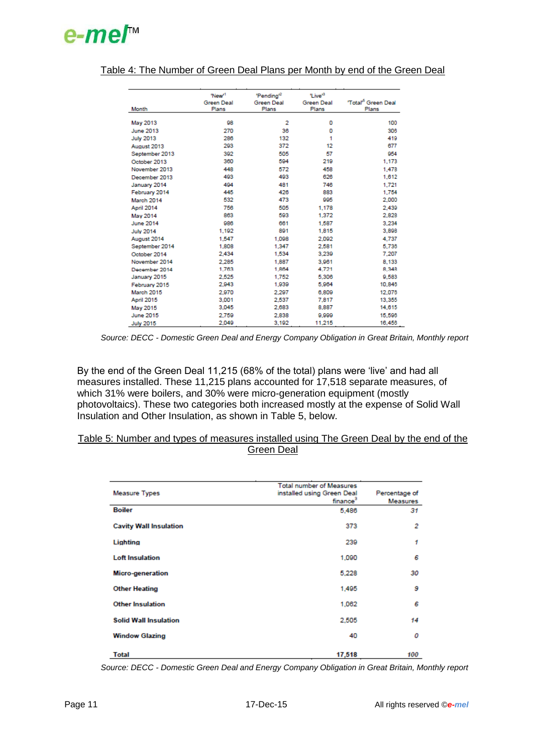## e-me/™

| Month            | 'New <sup>1</sup><br><b>Green Deal</b><br>Plans | 'Pending <sup>2</sup><br><b>Green Deal</b><br>Plans | 'Live <sup>®</sup><br><b>Green Deal</b><br>Plans | 'Total <sup>'5</sup> Green Deal<br>Plans |
|------------------|-------------------------------------------------|-----------------------------------------------------|--------------------------------------------------|------------------------------------------|
| May 2013         | 98                                              | 2                                                   | 0                                                | 100                                      |
| June 2013        | 270                                             | 36                                                  | 0                                                | 306                                      |
| <b>July 2013</b> | 286                                             | 132                                                 | 1                                                | 419                                      |
| August 2013      | 293                                             | 372                                                 | 12                                               | 677                                      |
| September 2013   | 392                                             | 505                                                 | 57                                               | 954                                      |
| October 2013     | 360                                             | 594                                                 | 219                                              | 1,173                                    |
| November 2013    | 448                                             | 572                                                 | 458                                              | 1,478                                    |
| December 2013    | 493                                             | 493                                                 | 626                                              | 1,612                                    |
| January 2014     | 494                                             | 481                                                 | 746                                              | 1,721                                    |
| February 2014    | 445                                             | 426                                                 | 883                                              | 1,754                                    |
| March 2014       | 532                                             | 473                                                 | 995                                              | 2,000                                    |
| April 2014       | 756                                             | 505                                                 | 1,178                                            | 2,439                                    |
| May 2014         | 863                                             | 593                                                 | 1.372                                            | 2,828                                    |
| <b>June 2014</b> | 986                                             | 661                                                 | 1.587                                            | 3.234                                    |
| <b>July 2014</b> | 1,192                                           | 891                                                 | 1,815                                            | 3,898                                    |
| August 2014      | 1.547                                           | 1.098                                               | 2.092                                            | 4,737                                    |
| September 2014   | 1.808                                           | 1,347                                               | 2,581                                            | 5,736                                    |
| October 2014     | 2.434                                           | 1.534                                               | 3.239                                            | 7.207                                    |
| November 2014    | 2.285                                           | 1,887                                               | 3,961                                            | 8.133                                    |
| December 2014    | 1.763                                           | 1,864                                               | 4.721                                            | 8.348                                    |
| January 2015     | 2.525                                           | 1.752                                               | 5.306                                            | 9.583                                    |
| February 2015    | 2,943                                           | 1,939                                               | 5,964                                            | 10,846                                   |
| March 2015       | 2.970                                           | 2,297                                               | 6,809                                            | 12,076                                   |
| April 2015       | 3,001                                           | 2,537                                               | 7,817                                            | 13,355                                   |
| May 2015         | 3,045                                           | 2,683                                               | 8,887                                            | 14,615                                   |
| <b>June 2015</b> | 2.759                                           | 2,838                                               | 9,999                                            | 15,596                                   |
| <b>July 2015</b> | 2.049                                           | 3,192                                               | 11,215                                           | 16,456                                   |

### Table 4: The Number of Green Deal Plans per Month by end of the Green Deal

By the end of the Green Deal 11,215 (68% of the total) plans were 'live' and had all measures installed. These 11,215 plans accounted for 17,518 separate measures, of which 31% were boilers, and 30% were micro-generation equipment (mostly photovoltaics). These two categories both increased mostly at the expense of Solid Wall Insulation and Other Insulation, as shown in Table 5, below.

#### Table 5: Number and types of measures installed using The Green Deal by the end of the Green Deal

| <b>Measure Types</b>          | <b>Total number of Measures</b><br>installed using Green Deal<br>finance <sup>3</sup> | Percentage of<br>Measures |
|-------------------------------|---------------------------------------------------------------------------------------|---------------------------|
| <b>Boiler</b>                 | 5,486                                                                                 | 31                        |
| <b>Cavity Wall Insulation</b> | 373                                                                                   | 2                         |
| Lighting                      | 239                                                                                   | 1                         |
| <b>Loft Insulation</b>        | 1,090                                                                                 | 6                         |
| <b>Micro-generation</b>       | 5,228                                                                                 | 30                        |
| <b>Other Heating</b>          | 1,495                                                                                 | 9                         |
| <b>Other Insulation</b>       | 1,062                                                                                 | 6                         |
| <b>Solid Wall Insulation</b>  | 2,505                                                                                 | 14                        |
| <b>Window Glazing</b>         | 40                                                                                    | 0                         |
| <b>Total</b>                  | 17,518                                                                                | 100                       |

*Source: DECC - Domestic Green Deal and Energy Company Obligation in Great Britain, Monthly report*

*Source: DECC - Domestic Green Deal and Energy Company Obligation in Great Britain, Monthly report*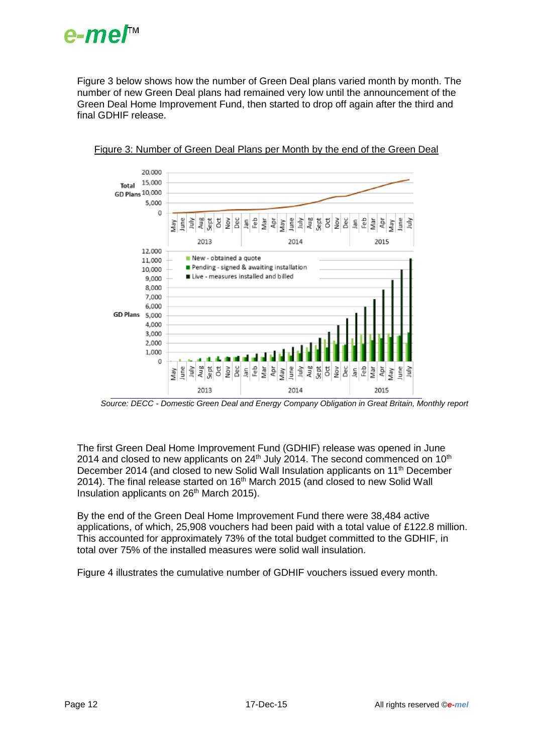

Figure 3 below shows how the number of Green Deal plans varied month by month. The number of new Green Deal plans had remained very low until the announcement of the Green Deal Home Improvement Fund, then started to drop off again after the third and final GDHIF release.



#### Figure 3: Number of Green Deal Plans per Month by the end of the Green Deal

*Source: DECC - Domestic Green Deal and Energy Company Obligation in Great Britain, Monthly report*

The first Green Deal Home Improvement Fund (GDHIF) release was opened in June 2014 and closed to new applicants on  $24<sup>th</sup>$  July 2014. The second commenced on 10<sup>th</sup> December 2014 (and closed to new Solid Wall Insulation applicants on 11<sup>th</sup> December 2014). The final release started on 16<sup>th</sup> March 2015 (and closed to new Solid Wall Insulation applicants on 26<sup>th</sup> March 2015).

By the end of the Green Deal Home Improvement Fund there were 38,484 active applications, of which, 25,908 vouchers had been paid with a total value of £122.8 million. This accounted for approximately 73% of the total budget committed to the GDHIF, in total over 75% of the installed measures were solid wall insulation.

Figure 4 illustrates the cumulative number of GDHIF vouchers issued every month.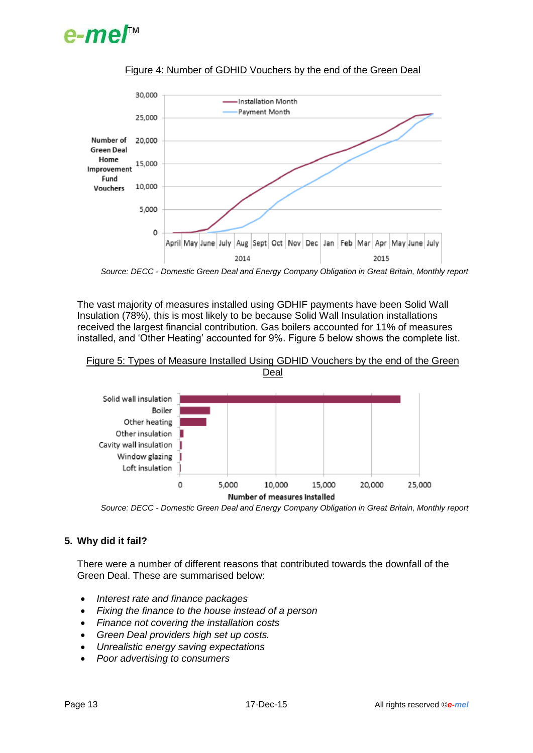



#### Figure 4: Number of GDHID Vouchers by the end of the Green Deal

*Source: DECC - Domestic Green Deal and Energy Company Obligation in Great Britain, Monthly report*

The vast majority of measures installed using GDHIF payments have been Solid Wall Insulation (78%), this is most likely to be because Solid Wall Insulation installations received the largest financial contribution. Gas boilers accounted for 11% of measures installed, and 'Other Heating' accounted for 9%. Figure 5 below shows the complete list.





*Source: DECC - Domestic Green Deal and Energy Company Obligation in Great Britain, Monthly report*

### **5. Why did it fail?**

There were a number of different reasons that contributed towards the downfall of the Green Deal. These are summarised below:

- *Interest rate and finance packages*
- *Fixing the finance to the house instead of a person*
- *Finance not covering the installation costs*
- *Green Deal providers high set up costs.*
- *Unrealistic energy saving expectations*
- *Poor advertising to consumers*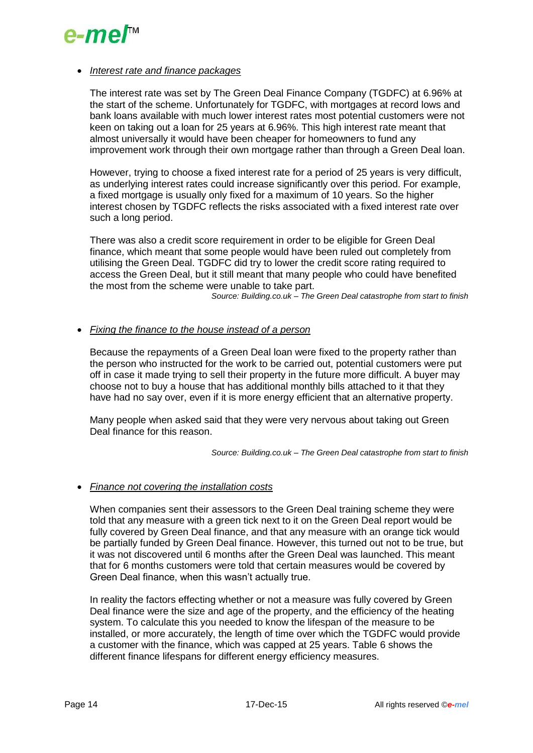

#### *Interest rate and finance packages*

The interest rate was set by The Green Deal Finance Company (TGDFC) at 6.96% at the start of the scheme. Unfortunately for TGDFC, with mortgages at record lows and bank loans available with much lower interest rates most potential customers were not keen on taking out a loan for 25 years at 6.96%. This high interest rate meant that almost universally it would have been cheaper for homeowners to fund any improvement work through their own mortgage rather than through a Green Deal loan.

However, trying to choose a fixed interest rate for a period of 25 years is very difficult, as underlying interest rates could increase significantly over this period. For example, a fixed mortgage is usually only fixed for a maximum of 10 years. So the higher interest chosen by TGDFC reflects the risks associated with a fixed interest rate over such a long period.

There was also a credit score requirement in order to be eligible for Green Deal finance, which meant that some people would have been ruled out completely from utilising the Green Deal. TGDFC did try to lower the credit score rating required to access the Green Deal, but it still meant that many people who could have benefited the most from the scheme were unable to take part.

*Source: Building.co.uk – The Green Deal catastrophe from start to finish*

#### *Fixing the finance to the house instead of a person*

Because the repayments of a Green Deal loan were fixed to the property rather than the person who instructed for the work to be carried out, potential customers were put off in case it made trying to sell their property in the future more difficult. A buyer may choose not to buy a house that has additional monthly bills attached to it that they have had no say over, even if it is more energy efficient that an alternative property.

Many people when asked said that they were very nervous about taking out Green Deal finance for this reason.

*Source: Building.co.uk – The Green Deal catastrophe from start to finish*

#### *Finance not covering the installation costs*

When companies sent their assessors to the Green Deal training scheme they were told that any measure with a green tick next to it on the Green Deal report would be fully covered by Green Deal finance, and that any measure with an orange tick would be partially funded by Green Deal finance. However, this turned out not to be true, but it was not discovered until 6 months after the Green Deal was launched. This meant that for 6 months customers were told that certain measures would be covered by Green Deal finance, when this wasn't actually true.

In reality the factors effecting whether or not a measure was fully covered by Green Deal finance were the size and age of the property, and the efficiency of the heating system. To calculate this you needed to know the lifespan of the measure to be installed, or more accurately, the length of time over which the TGDFC would provide a customer with the finance, which was capped at 25 years. Table 6 shows the different finance lifespans for different energy efficiency measures.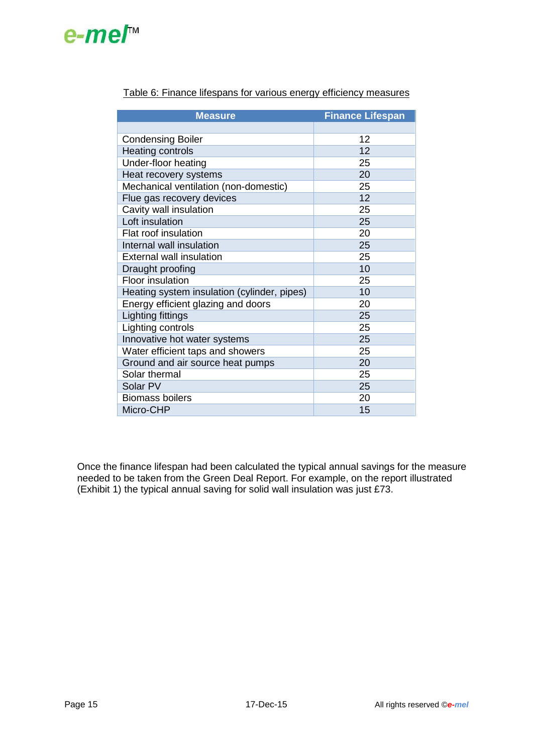# e-me/™

| <b>Measure</b>                              | <b>Finance Lifespan</b> |
|---------------------------------------------|-------------------------|
|                                             |                         |
| <b>Condensing Boiler</b>                    | 12                      |
| <b>Heating controls</b>                     | 12                      |
| Under-floor heating                         | 25                      |
| Heat recovery systems                       | 20                      |
| Mechanical ventilation (non-domestic)       | 25                      |
| Flue gas recovery devices                   | 12                      |
| Cavity wall insulation                      | 25                      |
| Loft insulation                             | 25                      |
| Flat roof insulation                        | 20                      |
| Internal wall insulation                    | 25                      |
| <b>External wall insulation</b>             | 25                      |
| Draught proofing                            | 10                      |
| Floor insulation                            | 25                      |
| Heating system insulation (cylinder, pipes) | 10                      |
| Energy efficient glazing and doors          | 20                      |
| Lighting fittings                           | 25                      |
| Lighting controls                           | 25                      |
| Innovative hot water systems                | 25                      |
| Water efficient taps and showers            | 25                      |
| Ground and air source heat pumps            | 20                      |
| Solar thermal                               | 25                      |
| Solar PV                                    | 25                      |
| <b>Biomass boilers</b>                      | 20                      |
| Micro-CHP                                   | 15                      |

## Table 6: Finance lifespans for various energy efficiency measures

Once the finance lifespan had been calculated the typical annual savings for the measure needed to be taken from the Green Deal Report. For example, on the report illustrated (Exhibit 1) the typical annual saving for solid wall insulation was just £73.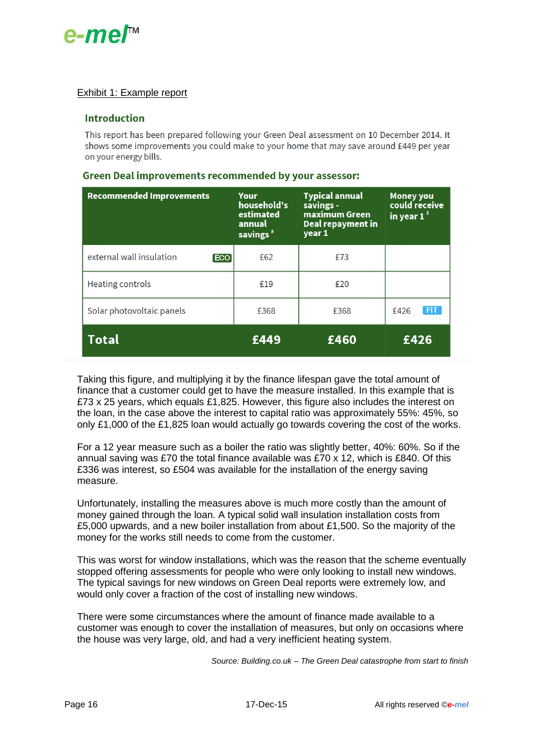

### Exhibit 1: Example report

#### **Introduction**

This report has been prepared following your Green Deal assessment on 10 December 2014. It shows some improvements you could make to your home that may save around £449 per year on your energy bills.

| <b>Recommended Improvements</b>        | Your<br>household's<br>estimated<br>annual<br>savings <sup>#</sup> | <b>Typical annual</b><br>savings -<br>maximum Green<br>Deal repayment in<br>year 1 | <b>Money you</b><br>could receive<br>in year $1^{\ddagger}$ |
|----------------------------------------|--------------------------------------------------------------------|------------------------------------------------------------------------------------|-------------------------------------------------------------|
| external wall insulation<br><b>ECO</b> | £62                                                                | £73                                                                                |                                                             |
| <b>Heating controls</b>                | £19                                                                | £20                                                                                |                                                             |
| Solar photovoltaic panels              | £368                                                               | £368                                                                               | <b>FIT</b><br>£426                                          |
| <b>Total</b>                           | £449                                                               | £460                                                                               | £426                                                        |

#### Green Deal improvements recommended by your assessor:

Taking this figure, and multiplying it by the finance lifespan gave the total amount of finance that a customer could get to have the measure installed. In this example that is £73 x 25 years, which equals £1,825. However, this figure also includes the interest on the loan, in the case above the interest to capital ratio was approximately 55%: 45%, so only £1,000 of the £1,825 loan would actually go towards covering the cost of the works.

For a 12 year measure such as a boiler the ratio was slightly better, 40%: 60%. So if the annual saving was £70 the total finance available was £70 x 12, which is £840. Of this £336 was interest, so £504 was available for the installation of the energy saving measure.

Unfortunately, installing the measures above is much more costly than the amount of money gained through the loan. A typical solid wall insulation installation costs from £5,000 upwards, and a new boiler installation from about £1,500. So the majority of the money for the works still needs to come from the customer.

This was worst for window installations, which was the reason that the scheme eventually stopped offering assessments for people who were only looking to install new windows. The typical savings for new windows on Green Deal reports were extremely low, and would only cover a fraction of the cost of installing new windows.

There were some circumstances where the amount of finance made available to a customer was enough to cover the installation of measures, but only on occasions where the house was very large, old, and had a very inefficient heating system.

*Source: Building.co.uk – The Green Deal catastrophe from start to finish*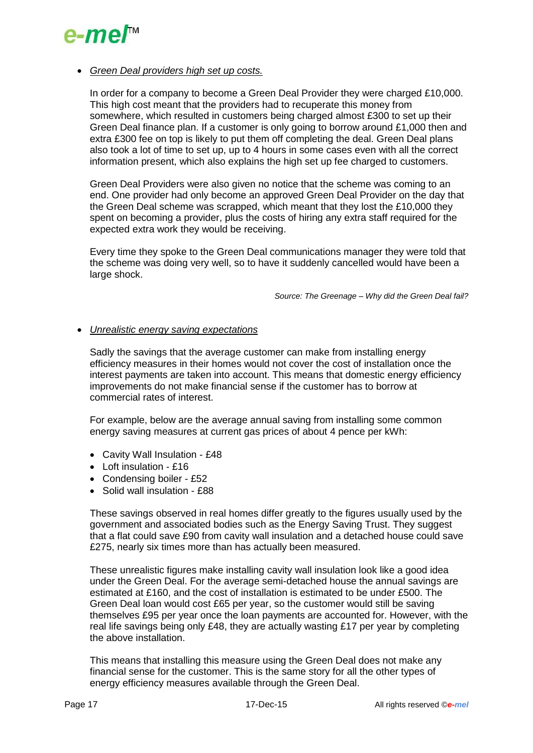

#### *Green Deal providers high set up costs.*

In order for a company to become a Green Deal Provider they were charged £10,000. This high cost meant that the providers had to recuperate this money from somewhere, which resulted in customers being charged almost £300 to set up their Green Deal finance plan. If a customer is only going to borrow around £1,000 then and extra £300 fee on top is likely to put them off completing the deal. Green Deal plans also took a lot of time to set up, up to 4 hours in some cases even with all the correct information present, which also explains the high set up fee charged to customers.

Green Deal Providers were also given no notice that the scheme was coming to an end. One provider had only become an approved Green Deal Provider on the day that the Green Deal scheme was scrapped, which meant that they lost the £10,000 they spent on becoming a provider, plus the costs of hiring any extra staff required for the expected extra work they would be receiving.

Every time they spoke to the Green Deal communications manager they were told that the scheme was doing very well, so to have it suddenly cancelled would have been a large shock.

*Source: The Greenage – Why did the Green Deal fail?*

#### *Unrealistic energy saving expectations*

Sadly the savings that the average customer can make from installing energy efficiency measures in their homes would not cover the cost of installation once the interest payments are taken into account. This means that domestic energy efficiency improvements do not make financial sense if the customer has to borrow at commercial rates of interest.

For example, below are the average annual saving from installing some common energy saving measures at current gas prices of about 4 pence per kWh:

- Cavity Wall Insulation £48
- Loft insulation £16
- Condensing boiler £52
- Solid wall insulation £88

These savings observed in real homes differ greatly to the figures usually used by the government and associated bodies such as the Energy Saving Trust. They suggest that a flat could save £90 from cavity wall insulation and a detached house could save £275, nearly six times more than has actually been measured.

These unrealistic figures make installing cavity wall insulation look like a good idea under the Green Deal. For the average semi-detached house the annual savings are estimated at £160, and the cost of installation is estimated to be under £500. The Green Deal loan would cost £65 per year, so the customer would still be saving themselves £95 per year once the loan payments are accounted for. However, with the real life savings being only £48, they are actually wasting £17 per year by completing the above installation.

This means that installing this measure using the Green Deal does not make any financial sense for the customer. This is the same story for all the other types of energy efficiency measures available through the Green Deal.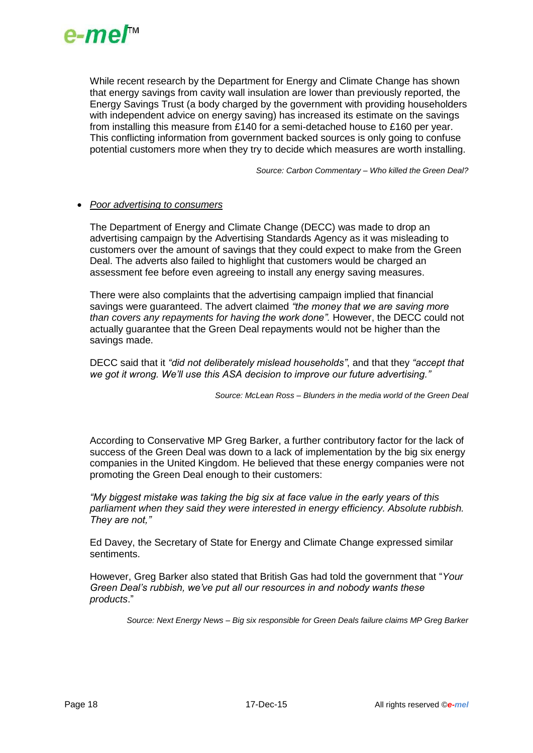

While recent research by the Department for Energy and Climate Change has shown that energy savings from cavity wall insulation are lower than previously reported, the Energy Savings Trust (a body charged by the government with providing householders with independent advice on energy saving) has increased its estimate on the savings from installing this measure from £140 for a semi-detached house to £160 per year. This conflicting information from government backed sources is only going to confuse potential customers more when they try to decide which measures are worth installing.

*Source: Carbon Commentary – Who killed the Green Deal?*

#### *Poor advertising to consumers*

The Department of Energy and Climate Change (DECC) was made to drop an advertising campaign by the Advertising Standards Agency as it was misleading to customers over the amount of savings that they could expect to make from the Green Deal. The adverts also failed to highlight that customers would be charged an assessment fee before even agreeing to install any energy saving measures.

There were also complaints that the advertising campaign implied that financial savings were guaranteed. The advert claimed *"the money that we are saving more than covers any repayments for having the work done".* However, the DECC could not actually guarantee that the Green Deal repayments would not be higher than the savings made.

DECC said that it *"did not deliberately mislead households"*, and that they *"accept that we got it wrong. We'll use this ASA decision to improve our future advertising."*

*Source: McLean Ross – Blunders in the media world of the Green Deal*

According to Conservative MP Greg Barker, a further contributory factor for the lack of success of the Green Deal was down to a lack of implementation by the big six energy companies in the United Kingdom. He believed that these energy companies were not promoting the Green Deal enough to their customers:

*"My biggest mistake was taking the big six at face value in the early years of this parliament when they said they were interested in energy efficiency. Absolute rubbish. They are not,"*

Ed Davey, the Secretary of State for Energy and Climate Change expressed similar sentiments.

However, Greg Barker also stated that British Gas had told the government that "*Your Green Deal's rubbish, we've put all our resources in and nobody wants these products*."

*Source: Next Energy News – Big six responsible for Green Deals failure claims MP Greg Barker*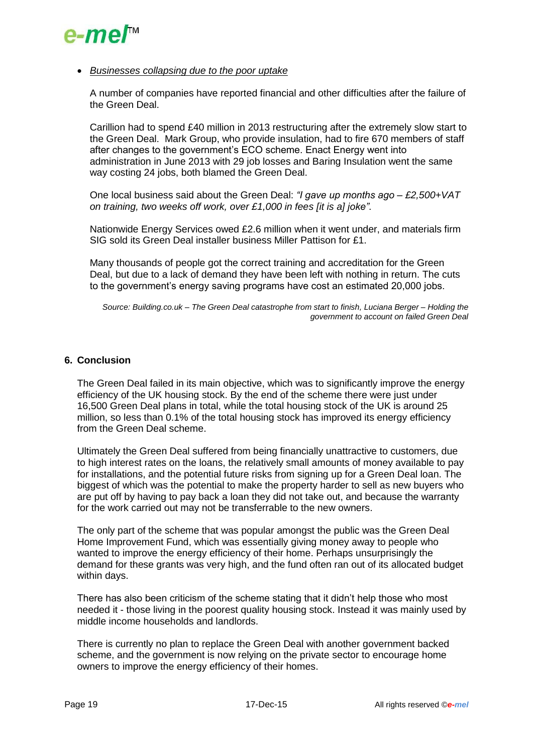

#### *Businesses collapsing due to the poor uptake*

A number of companies have reported financial and other difficulties after the failure of the Green Deal.

Carillion had to spend £40 million in 2013 restructuring after the extremely slow start to the Green Deal. Mark Group, who provide insulation, had to fire 670 members of staff after changes to the government's ECO scheme. Enact Energy went into administration in June 2013 with 29 job losses and Baring Insulation went the same way costing 24 jobs, both blamed the Green Deal.

One local business said about the Green Deal: *"I gave up months ago – £2,500+VAT on training, two weeks off work, over £1,000 in fees [it is a] joke"*.

Nationwide Energy Services owed £2.6 million when it went under, and materials firm SIG sold its Green Deal installer business Miller Pattison for £1.

Many thousands of people got the correct training and accreditation for the Green Deal, but due to a lack of demand they have been left with nothing in return. The cuts to the government's energy saving programs have cost an estimated 20,000 jobs.

*Source: Building.co.uk – The Green Deal catastrophe from start to finish, Luciana Berger – Holding the government to account on failed Green Deal*

### **6. Conclusion**

The Green Deal failed in its main objective, which was to significantly improve the energy efficiency of the UK housing stock. By the end of the scheme there were just under 16,500 Green Deal plans in total, while the total housing stock of the UK is around 25 million, so less than 0.1% of the total housing stock has improved its energy efficiency from the Green Deal scheme.

Ultimately the Green Deal suffered from being financially unattractive to customers, due to high interest rates on the loans, the relatively small amounts of money available to pay for installations, and the potential future risks from signing up for a Green Deal loan. The biggest of which was the potential to make the property harder to sell as new buyers who are put off by having to pay back a loan they did not take out, and because the warranty for the work carried out may not be transferrable to the new owners.

The only part of the scheme that was popular amongst the public was the Green Deal Home Improvement Fund, which was essentially giving money away to people who wanted to improve the energy efficiency of their home. Perhaps unsurprisingly the demand for these grants was very high, and the fund often ran out of its allocated budget within days.

There has also been criticism of the scheme stating that it didn't help those who most needed it - those living in the poorest quality housing stock. Instead it was mainly used by middle income households and landlords.

There is currently no plan to replace the Green Deal with another government backed scheme, and the government is now relying on the private sector to encourage home owners to improve the energy efficiency of their homes.